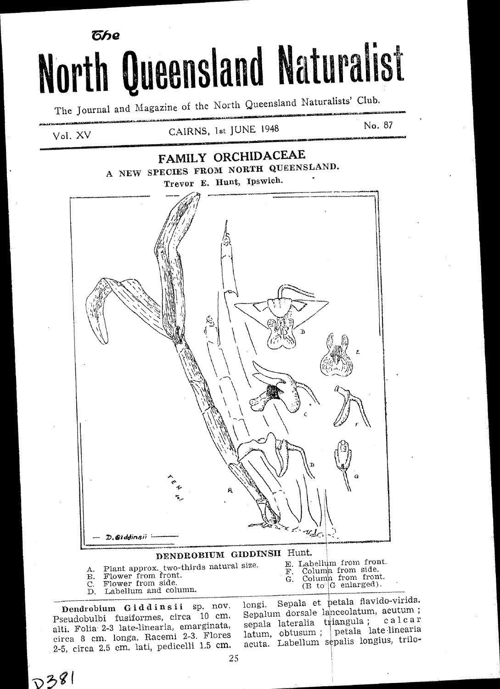# б⁄ле North Queensland Naturalist

The Journal and Magazine of the North Queensland Naturalists' Club.

Vol. XV

# CAIRNS, 1st JUNE 1948

# **FAMILY ORCHIDACEAE** A NEW SPECIES FROM NORTH QUEENSLAND. Trevor E. Hunt, Ipswich.



# DENDROBIUM GIDDINSII Hunt.

- Plant approx. two-thirds natural size.<br>Flower from front.<br>Flower from side.
- $\mathbf{B}$ .
- $\mathcal{C}$
- Labellum and column. Ď.

E. Labellum from front. Column from side.<br>Column from front.<br>(B to G enlarged). F. G.

Dendrobium Giddinsii sp. nov. Pseudobulbi fusiformes, circa 10 cm. alti. Folia 2-3 late-linearia, emarginata, circa 8 cm. longa. Racemi 2-3. Flores 2-5, circa 2.5 cm. lati, pedicelli 1.5 cm.

 $D381$ 

Sepala et petala flavido-virida. longi. Sepalum dorsale lanceolatum, acutum; sepala lateralia triangula; calcar latum, obtusum; petala late linearia<br>acuta. Labellum sepalis longius, trilo-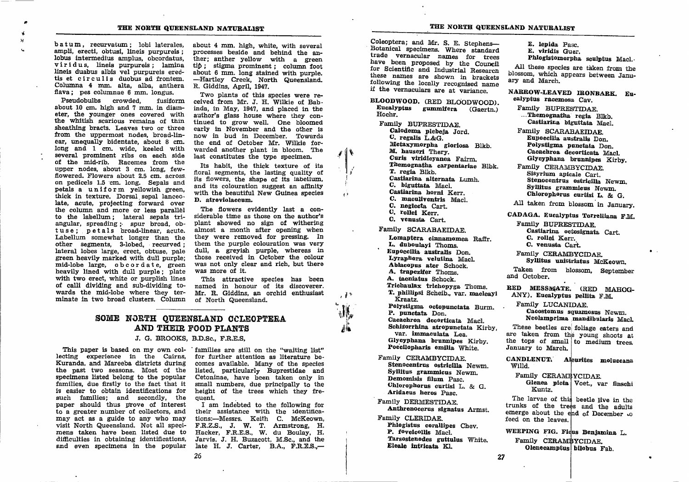batum, recurvatum ; lobi laterales, ampli, erecti, obtusi, lineis purpureis;<br>lobus intermedius amplus, obcordatus, viridus, lineis purpureis; lamina lineis duabus albis vel purpurels erectis et circulis duobus ad frontem.<br>Columna 4 mm, alta, alba, anthera flava; pes columnae 6 mm. longus.

a J ,l

> Pseudobulbs crowded, fusiform about 10 cm. high and ? mm. in diameter, the younger ones covered with the whitish scarious remains of thin sheathing bracts. Leaves two or three from the uppermost nodes, broad-linear, unequally bidentate, about 8 cm. long and 1 cm. wide, keeled with several prominent ribs on each side of the mid-rib. Racemes from the upper nodes, about 3 cm. long, fewflowered. Flowerg about 2.5 cm. across. on pedicels 1.5 'cm. long, Sepals and petals a uniform yellowish green, thick in texture. Dorsal sepal lanceolate, acute, projecting forward over the column and more or less parallel to the labellum; lateral sepals triangular, spreading; spur broad, obtuse; petals broad-linear, acute.<br>Labellum somewhat longer than the other segments, 3-lobed, recurved; lateral lobes large, erect, obtuse, pale EFeen heavlly marked with dull purple; mid-lobe large, obcordate, green heavily lined with dull purple; plate with two erect, white or purplish lines of calli dividing and sub-dividing towards the mid-Iobe where they terminate in two broad clusters. Column

about 4 mm. high, white, with several ther; anther yellow with a green tip ; stigma prominent ; column foot about 6 mm. long stained with purple, -Hartley Creek, North Queensland. R. Giddins, April, 1947.

Two plants of this species were received from Mr. J. H, Wilkie of Bab. inda, in May, 1947, and placed in the author's glass house where they continued to grow well. One bloomed early in November and the other is now in bud ln December. Towards the end of October Mr. Wilkie forwarded another plaat in bloom. The last constitutes the type specimen.

 $\int f(x)$ 

,l i rl

 $\sqrt{3}$ 

 $, 1$ 

 $\mathbf{u}_{k}$ 

Its habit, the thick texture of its floral segments, the lasting quality of its flowers, the shape of its labellum, and its colouration suggest an affinity with the beautiful New Guinea species **D.** atroviolaceum.

The flowers evidently last a considerable time as those on the author's plant showed no sign of withering almost a month after opening when they were removed for pressing. In them the purple colouration was very dull, a greyish purple, whereas in those received in October the colour was not only clear and rich, but there was more of it.

This attractive species has been named in honour of its discoverer. Mr. R. Giddins, an orchid enthusiast of North Queensland.

# SOME NORTH QUEENSLAND CCLEOPTERA AND THEIR FOOD PLANTS

## J. G. BROOKS, B.D.Sc., F.R.E.S,

This paper is based on my own col- 'families are still on the "waiting list" lecting experience in the Cairns, for further attention as literature be-<br>Kuranda, and Mareeba districts during comes available. Many of the spec Kuranda, and Mareeba districts during comes available. Many of the species the past two seasons. Most of the listed, particularly Buprestidae and specimens listed belong to the popular Cetoninae, have been taken only in specimens listed belong to the popular Cetoninae, have been taken only in families, due firstly to the fact that it small numbers, due principally to the is easier to obtain identifications for height of the trees which they fre-<br>such families; and secondly, the quent.<br>paper should thus prove of interest I am indebted to the following for paper should thus prove of interest I am indebted to the following for<br>to a greater number of collectors, and their assistance with the identificato a greater number of collectors, and their assistance with the identifica-<br>may act as a guide to any who may tions:—Messrs. Keith C. McKeown, may act as a guide to any who may tions:---Messrs. Keith C. McKeown, visit North Queensland. Not all speci- F.R.Z.S., J. W. T. Armstrong, H. visit North Queensland. Not all speci-<br>mens taken have been listed due to difficulties in obtaining identifications, Jarvis, J. H. Buzacott, M.Sc., and the and even specimens in the popular late H. J. Carter. B.A., F.R.E.S.. and even specimens in the popular

Hacker, F.R.E.S., W. du Boulay, H.<br>Jarvis, J. H. Buzacott, M.Sc., and the

Coleoptera; and Mr. S. E. Stephens—Botanical specimens. Where standard<br>Hotanical specimens. Where standard<br>trade vernacular names for trees<br>have been proposed by the Council<br>for Scientific and Industrial Research<br>these nam

BLOODWOOD. (RED BLOODWOOD). Eucalyptus gummifera (Gaertn.) Hochr.

Family BIJPRESTIDAE. Calodema plebeja Jord.<br>C. regalis L.&G. Metaxymorpha gloriosa Blkb. M. hauseri Thery. Curis viridicyanea Fairm. Themognatha carpentariae Blbk.<br>T. regia Blkb. Castiarina alternata Lumh.<br>C. biguttata Macl. Castiarina horni Kerr.<br>C. maculiventris Macl.<br>C. neglecta Cart.<br>C. rollei Kerr.<br>C. venusta Cart.

Family SCARABAEIDAE.

Lomaptera cinnamomea Raffr.<br>L. duboulavi Thoms. Eupoecilia australis Don. Lyraphora velutina Macl. Ablacopus ater Schock.<br>A. trapezifer Thoms.<br>A. taeniatus Schock. Trichaulax trichopyga Thoms. T. phillipsi Scheib., var. macleayi<br>Kraatz. Polystigma octopunctata Burm.<br>P. punctata Don.<br>Cacachroa decorticata Macl. Schizorrhina atropunctata Kirby, var. immaculata Lea. Glycyphana brunnipes Kirby. Poecilopharis emilia White.

Family CERAMBYCIDAE. Stenocentrus ostricilla Newm.<br>Syllitus grammicus Newm. Demomisis filum Pasc. Chlorophorus curtisi L. & G.<br>Aridaeus heros Pasc.

Family DERMESTIDAE. Anthrenocerus signatus Armst.

Family CLERIDAE. Phlogistus corallipes Chev.<br>P. foveicollis Macl. Tarsostenodes guttulus White. Eleale intricata Kl.

E. lepida pasc. E. vlridis Guer.

Phlogistomorpha sculptus Macl.<br>All these species are taken from the blossom, which appears between Janu-<br>ary and March

NARROW-LEAVED IRONBARK. Eu-<br>calyptus racemosa Cav.

Family BUPRESTIDAE. ....Themognatha regia Blkb. Castiarina biguttata Macl.

Fanily SCARABAEIDAE. Polystigma punctata Don. Cacachroa decorticata Macl. Glycyphana brunnipes Kirby.

Family CERAMBYCIDAE.<br>Sisyrium apicale Cart. Stenocentrus ostricilla Newm.<br>Syllitus grammicus Newm.<br>Chlorophorus curtisi L. & G.

All taken from blossom in January.

CADAGA. Eucalyptus Torrelliana F.M.

Family BUPRESTIDAE. Castlarlna ootosignata Cart, C. rollsl Kerr. C. venusta Cart.

Family CERAMBYCIDAE. Syllitus unistriatus McKeown.

Taken from blossom, September and October.

RED MESSMATE. (RED MAHOG-ANY). Eucalyptus pellita F.M.

Family LUCANIDAE. Cacostomus squamosus Newm. Neolamprima mandibularis Macl.

These beetles are foliage eaters and are the the text for the tops of the tops of small in the divergence of the tops of small in the divergence of  $\alpha$  divergences at the tops of small i to medium trees,  $\alpha$  are rational in the tops of small in the tops of

> CANDLENUT. Aleurites moluccana wiud.

Family CERAMBYCIDAE.

Glenea picta Voet., var finschi Kuntz.

The larvae of this beetle live in the trunks of the trees and the adults emerge about the end of December to feed on the leaves.

WEEPING FIG. Ficus Benjamina L.<br>Family CERAMBYCIDAE. Olenecamptus bilobus Fab.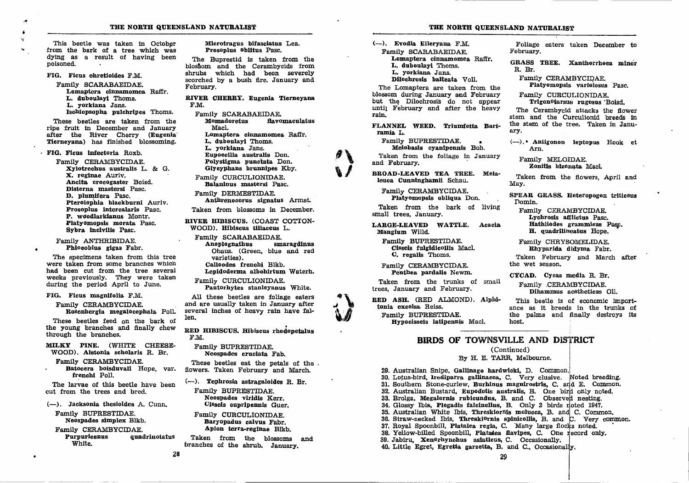This beetle was taken in October from the bark of a tree which was dying as a result of having been poisoned.

FIG. Ficus ehreticides F.M.

Family SCARABAEIDAE. Lomaptera cinnamomea Raffr. L. duboulayi Thoms. L. vorkiana Jans. Ischiopsopha pulchripes Thoms.

These beetles are taken from the ripe fruit in December and January after the River Cherry (Eugenia Tiernevana) has finished blossoming.

· FIG. Ficus infectoria Roxb.

Family CERAMBYCIDAE. Xylotrechus australis L. & G. X. reginae Auriv. Ancita crocogaster Boisd. Disterna mastersi Pasc. D. plumifera Pasc. Pterolophia blackburni Auriv. Prosoplus intercalaris Pasc. P. woodlarkianus Montr. Platyomopsis morata Pasc. Sybra incivilis Pasc.

Family ANTHRIBIDAE. Phloeobius gigas Fabr.

The specimens taken from this tree were taken from some branches which had been cut from the tree several weeks previously. They were taken during the period April to June.

### FIG. Ficus magnifolia F.M.

Family CERAMBYCIDAE. Rosenbergia megalocephala Poll.

These beetles feed on the bark of the young branches and finally chew through the branches.

MILKY PINE. (WHITE CHEESE-WOOD). Alstonia scholaris R. Br.

Family CERAMBYCIDAE. Batocera boisduvali Hope, var. frenchi Poll.

The larvae of this beetle have been cut from the trees and bred.

(-). Jacksonia thesioides A. Cunn.

Family BUPRESTIDAE. Neospades simplex Blkb.

Family CERAMBYCIDAE.

Purpuricenus quadrinotatus White.

28

Microtragus bifasciatus Lea. Prosoplus Oblitus Pasc.

The Buprestid is taken from the blossom and the Cerambycids from shrubs which had been severely scorched by a bush fire. January and February.

RIVER CHERRY. Eugenia Tierneyana F.M.

Family SCARABAEIDAE. Momadoretus flavomaculatus Macl. Lomantera cinnamomea Raffr. L. duboulayi Thoms. L. yorkiana Jans. Eupoecilia australis Don. Polystigma punctata Don. Glycyphans brunnipes Kby.

Family CURCULIONIDAE. Balaninus mastersi Pasc.

Family DERMESTIDAE. Anthrenocerus signatus Armst.

Taken from blossoms in December.

RIVER HIBISCUS. (COAST COTTON-WOOD). Hibiscus tiliaceus L.

Family SCARABAEIDAE. Anoplognathus smaragdinus Ohaus, (Green, blue and red varieties). Calloodes frenchi Blkb.

Lepidoderma albohirtum Waterh. Family CURCULIONIDAE.

Pautorhytes stanleyanus White.

All these beetles are foliage eaters and are usually taken in January after several inches of heavy rain have fallen.

RED HIBISCUS. Hibiscus rhodopetalus F.M.

Family BUPRESTIDAE. Neospades cruciata Fab.

These beetles eat the petals of the. flowers. Taken February and March.

(--). Tephrosia astragaloides R. Br.

Family BUPRESTIDAE. Neospades viridis Kerr. Cisseis cupripennis Guer.

Family CURCULIONIDAE. Baryopadus calvus Fabr. Apion terra-reginae Blkb.

Taken from the blossoms and branches of the shrub. January.

#### THE NORTH QUEENSLAND NATURALIST

(--). Evodia Ellervana F.M. Family SCARABAEIDAE. Lomantera cinnamomea Raffr. L. duboulayi Thoms. L. yorkiana Jans. Dilochrosis balteata Voll.

The Lomaptera are taken from the blossom during January and February but the Dilochrosis do not appear until February and after the heavy rain.

FLANNEL WEED. Triumfetta Bartramia L.

Family BUPRESTIDAE. Melobasis cyanipennis Boh.

Taken from the foliage in January and February.

BROAD-LEAVED TEA TREE. Melaleuca Cunninghamii Schau.

Family CERAMBYCIDAE. Platyomopsis obliqua Don.

Taken from the bark of living small trees. January.

LARGE-LEAVED WATTLE. Acacia Mangium Willd.

Family BUPRESTIDAE. Cisseis fulgidicollis Macl. C. regalis Thoms.

Family CERAMBYCIDAE. Penthea pardalis Newm.

Taken from the trunks of small trees. January and February.

RED ASH. (RED ALMOND). Alphitonia excelsa Reiss. Family BUPRESTIDAE. Hypocisseis latipennis Macl.

Foliage eaters taken December to February.

GRASS TREE. Xanthorrhoea minor R. Br.

Family CERAMBYCIDAE.

Platyomopsis variolosus Pasc.

Family CURCULIONIDAE. Trigonotarsus rugosus Boisd.

The Cerambycid attacks the flower stem and the Curculionid breeds in the stem of the tree. Taken in January.

(--), \* Antigonon leptopus Hook et Arn.

Family MELOIDAE. Zonitis bizonata Macl.

Taken from the flowers. April and May.

SPEAR GRASS. Heteropogon triticeus Domin.

Family CERAMBYCIDAE. Lychrosis afflictus Pasc. Hathliodes grammicus Pasc. H. quadrilineatus Hope.

Family CHRYSOMELIDAE. Rhyparida didyma Fabr.

Taken February and March after the wet season.

CYCAD. Cycas media R. Br.

Family CERAMBYCIDAE. Dihammus aestheticus Oll.

This beetle is of economic importance as it breeds in the trunks of the palms and finally destroys its host.

## BIRDS OF TOWNSVILLE AND DISTRICT

(Continued)

By H. E. TARR, Melbourne.

29. Australian Snipe, Gallinago hardwicki, D. Common. 30. Lotus-bird, Irediparra gallinacea, C. Very elusive. Noted breeding. 31. Southern Stone-curlew, Burhinus magnirostris, C. and E. Common. 32. Australian Bustard, Eupodotis australis, B. One bird only noted. 33. Brolga. Megalornis rubicundus. B. and C. Observed nesting. 34. Glossy Ibis, Plegadis falcinellus, B. Only 2 birds noted 1947. 35. Australian White Ibis, Threskiornis molucca, B. and C. Common. 36. Straw-necked Ibis, Threski<sup>o</sup>rnis spinicollis, B. and C. Very common. 37. Royal Spoonbill, Platalea regia, C. Many large flocks noted. 38. Yellow-billed Spoonbill, Platadea flavipes, C. One record only. 39. Jabiru. Xen<sup>o</sup>rhynchus asiaticus. C. Occasionally. 40. Little Egret, Egretta garzetta, B. and C., Occasionally.

29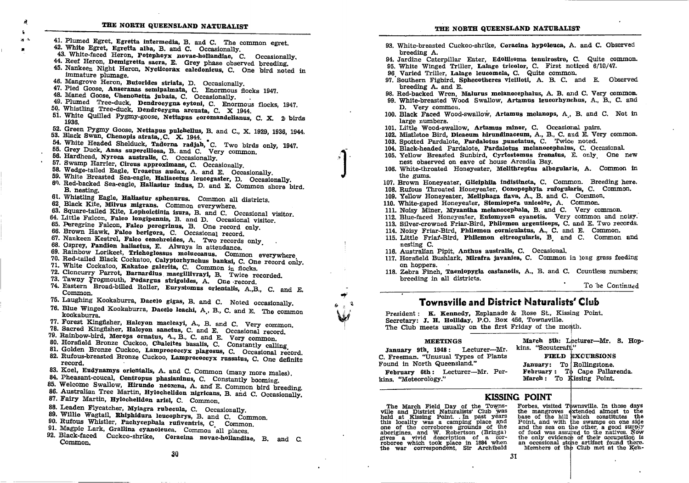- 41. Plumed Egret, Egretta intermedia, B. and C. The common egret. 42. White Egret, Egretta alba, B. and C. Occasionally.
- 43. White-faced Heron, Potephoyx novae-hollandiae, C. Occasionally,
- 44. Reef Heron, Demigretta sacra, E. Grey phase observed breeding.
- 45. Nankeen Night Heron. Nycticorax caledonicus. C. One bird noted in immature plumage.
- 46. Mangrove Heron, Butorides striata, D. Occasionally.
- 47. Pied Goose, Anseranas semipalmata, C. Enormous flocks 1947.
- 48. Maned Goose, Chenonetta jubata, C. Occasionally.
- 49. Plumed Tree-duck. Dendrocygna eytoni, C. Enormous flocks, 1947.
- 50. Whistling Tree-duck, Dendroeygna arcuata. C. X 1944.
- 51. White Quilled Pygmy-goose, Nettapus coromandelianus, C. X. 2 birds 1936.
- 52. Green Pygmy Goose, Nettapus pulchellus, B. and C., X. 1929, 1936, 1944.
- 53. Black Swan, Chenopis atrata, C. X. 1944.
- 54. White Headed Shelduck, Tadorna radiah. C. Two birds only. 1947.
- 55. Grey Duck. Anas superciliosa. B. and C. Very common.
- 56. Hardhead, Nyroca australis, C. Occasionally.
- 57. Swamp Harrier. Circus approximans. C. Occasionally.
- 58. Wedge-tailed Eagle, Uroactus audax, A. and E. Occasionally.
- 59. White Breasted Sea-eagle, Haliaeetus leucogaster, D. Occasionally.
- 60. Red-backed Sea-eagle, Hallastur indus, D. and E. Common shore bird. B. nesting.
- 61. Whistling Eagle, Haliastur sphenurus. Common all districts.
- 62 Black Kite, Milvus migrans. Common everywhere.
- 63. Square-tailed Kite, Lopholetinia isura, B. and C. Occasional visitor.
- 64. Little Falcon, Falco longipennis, B. and D. Occasional visitor.
- 65. Peregrine Falcon, Falco peregrinus, B. One record only.
- 66. Brown Hawk, Falco berigora, C. Occasional record.
- 67. Nankeen Kestrel, Falco cenchroides, A. Two records only
- 68. Osprey, Pandion haliaetus, E. Always in attendance.
- 69. Rainbow Lorikeet, Trichoglossus moluccanus. Common everywhere
- 70. Red-tailed Black Cockatoo, Calyptorhynchus banksi, C. One record only.
- 71. White Cockatoo. Kakatoe galerita, C. Common in flocks.
- 72. Cloncurry Parrot, Barnardius macgillivrayi, B. Twice recorded.
- 73. Tawny Frogmouth, Podargus strigoides, A. One record.
- 74. Eastern Broad-billed Roller. Eurystomus orientalis. A.B. C. and E. Common.
- 75. Laughing Kookaburra, Dacelo gigas, B. and C. Noted occasionally.
- 76. Blue Winged Kookaburra, Dacelo leachi, A., B., C. and E. The common kookaburra.
- 77. Forest Kingfisher, Halcyon macleayi, A., B. and C. Very common.
- 78. Sacred Kingfisher, Halcyon sanctus, C. and E. Occasional record.
- 79. Rainbow-bird, Merops ornatus, A., B., C. and E. Very common.
- 80. Horsfield Bronze Cuckoo, Chalcites basalis, C. Constantly calling
- 81. Golden Bronze Cuckoo, Lamprococcyx plagosus, C. Occasional record. 82. Rufous-breasted Bronze Cuckoo, Lamprococcyx russatus, C. One definite record.
- 83. Koel, Eudynamys orientalis, A. and C. Common (many more males).
- 84. Pheasant-coucal, Centropus phasianinus, C. Constantly booming.
- 85. Welcome Swallow, Hirundo neoxena, A. and E. Common bird breeding.
- 86. Australian Tree Martin, Hylochelidon nigricans, B. and C. Occasionally.
- 87. Fairy Martin, Hylochelidon ariel, C. Common.
- 88. Leaden Flycatcher, Myiagra rubecula, C. Occasionally.
- 89. Willie Wagtail, Rhiphidura leucophrys, B. and C. Common.
- 90. Rufous Whistler, Pachycephala rufiventris, C Common.
- 91. Magpie Lark, Grallina evanoleuca. Common all places.
- 92. Black-faced Cuckco-shrike, Coracina novae-hollandiae, B. and C.
- Common.

93. White-breasted Cuckoo-shrike, Coracina hypoleuca, A. and C. Observed 94. Jardine Caterpillar Eater, Edollisoma tenuirostre, C. Quite common. 95. White Winged Triller, Lalage tricolor, C. First noticed 6/10/47. 96 Varied Triller, Lalage leucomela, C. Quite common, 97. Southern Fighird, Sphecotheres vieilloti, A. B. C. and E. Observed breeding A, and E. 98. Red-backed Wren. Malurus melanocephalus, A. B. and C. Very common. 99. White-breasted Wood Swallow, Artamus leucorhynchus, A., B., C. and D. Very common. 100. Black Faced Wood-swallow, Artamus melanops, A, B, and C. Not in large numbers. 101. Little Wood-swallow. Artamus minor, C. Occasional pairs. 102. Mistletoe Bird, Dicaeum hirundinaceum, A., B., C. and E. Very common. 103. Spotted Pardalote. Pardalotus punctatus. C. Twice noted. 104. Black-headed Pardalote. Pardalotus melanocephalus, C. Occasional. 105. Yellow Breasted Sunbird, Cyrtostomus frenatus, E. only One new nest observed on eave of house Arcadia Bay. 106. White-throated Honeyeater, Melithreptus albogularis, A. Common in 107. Brown Honeyeater, Gliciphila indistincta, C. Common. Breeding here. 108. Rufous Throated Honeyeater, Conopophyla rufogularis, C. Common.

- 109. Yellow Honeyeater, Meliphaga flava, A., B. and C. Common.
- 110. White-gaped Honeveater. Stomiopera unicolor. A. Common.
- 111. Noisy Winer, Myzantha melanocephala, B. and C. Very common.
- 112. Blue-faced Honeveater, Entomyzon evanotis. Very common and noisy.
- 113. Silver-crowned Friar-Bird. Philemon argenticeps, C. and E. Two records.
- 114. Noisy Friar-Bird. Philemon corniculatus. A., C. and E. Common.
- 115. Little Friat-Bird. Philemon citreogularis. B and C. Common and nesting C.
- 116. Australian Pipit, Anthus australis, C. Occasional.
- 117. Horsfield Bushlark, Mirafra javanica, C. Common in long grass feeding on hoppers.
- 118. Zebra Finch, Taeniopygia castanotis, A., B. and C. Countless numbers: breeding in all districts.

To be Continued

# **Townsville and District Naturalists' Club**

President: K. Kennedy, Esplanade & Rose St., Kissing Point. Secretary: J. H. Holliday, P.O. Box 456, Townsville. The Club meets usually on the first Friday of the month.

**MEETINGS** January 9th, 1948: Lecturer-Mr.

breeding A.

the gums.

March 5th: Lecturer-Mr. S. Hopkins. "Scoutcraft."

C. Freeman. "Unusual Types of Plants Found in North Queensland."

FIELD EXCURSIONS January: To Rollingstone. February: To Cape Pallarenda. March: To Kissing Point.

February 6th: Lecturer-Mr. Perkins. "Meteorology."

## **KISSING POINT**

The March Field Day of the Towns-<br>ville and District Naturalists' Club was held at Kissing Point. In past years this locality was a camping place and<br>one of the corroboree grounds of the aborigines, and W. Robertson (Bringa) gives a vivid description of a corresponse which took place in 1884 when the war correspondent, Sir Archibald

Forbes, visited Townsville. In those days the mangroves extended almost to the base of the hill which constitutes the Point, and with the swamps on one side and the sea on the other, a good supply of food was assured to the natives. Now the only evidence of their occupation is an occasional stone artifact found there. Members of the Club met at the Ken-